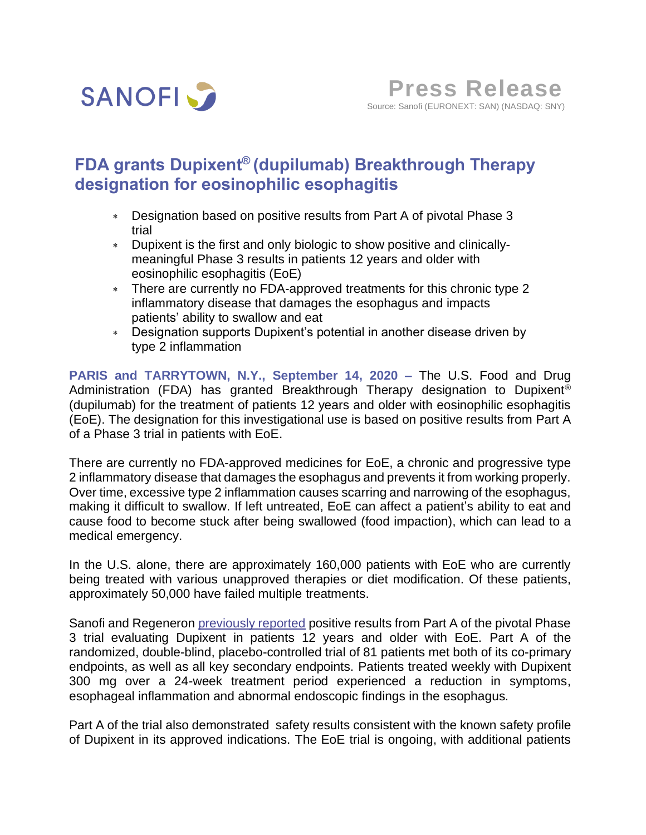

# **FDA grants Dupixent® (dupilumab) Breakthrough Therapy designation for eosinophilic esophagitis**

- Designation based on positive results from Part A of pivotal Phase 3 trial
- Dupixent is the first and only biologic to show positive and clinicallymeaningful Phase 3 results in patients 12 years and older with eosinophilic esophagitis (EoE)
- There are currently no FDA-approved treatments for this chronic type 2 inflammatory disease that damages the esophagus and impacts patients' ability to swallow and eat
- Designation supports Dupixent's potential in another disease driven by type 2 inflammation

**PARIS and TARRYTOWN, N.Y., September 14, 2020 –** The U.S. Food and Drug Administration (FDA) has granted Breakthrough Therapy designation to Dupixent® (dupilumab) for the treatment of patients 12 years and older with eosinophilic esophagitis (EoE). The designation for this investigational use is based on positive results from Part A of a Phase 3 trial in patients with EoE.

There are currently no FDA-approved medicines for EoE, a chronic and progressive type 2 inflammatory disease that damages the esophagus and prevents it from working properly. Over time, excessive type 2 inflammation causes scarring and narrowing of the esophagus, making it difficult to swallow. If left untreated, EoE can affect a patient's ability to eat and cause food to become stuck after being swallowed (food impaction), which can lead to a medical emergency.

In the U.S. alone, there are approximately 160,000 patients with EoE who are currently being treated with various unapproved therapies or diet modification. Of these patients, approximately 50,000 have failed multiple treatments.

Sanofi and Regeneron *previously reported* positive results from Part A of the pivotal Phase 3 trial evaluating Dupixent in patients 12 years and older with EoE. Part A of the randomized, double-blind, placebo-controlled trial of 81 patients met both of its co-primary endpoints, as well as all key secondary endpoints. Patients treated weekly with Dupixent 300 mg over a 24-week treatment period experienced a reduction in symptoms, esophageal inflammation and abnormal endoscopic findings in the esophagus.

Part A of the trial also demonstrated safety results consistent with the known safety profile of Dupixent in its approved indications. The EoE trial is ongoing, with additional patients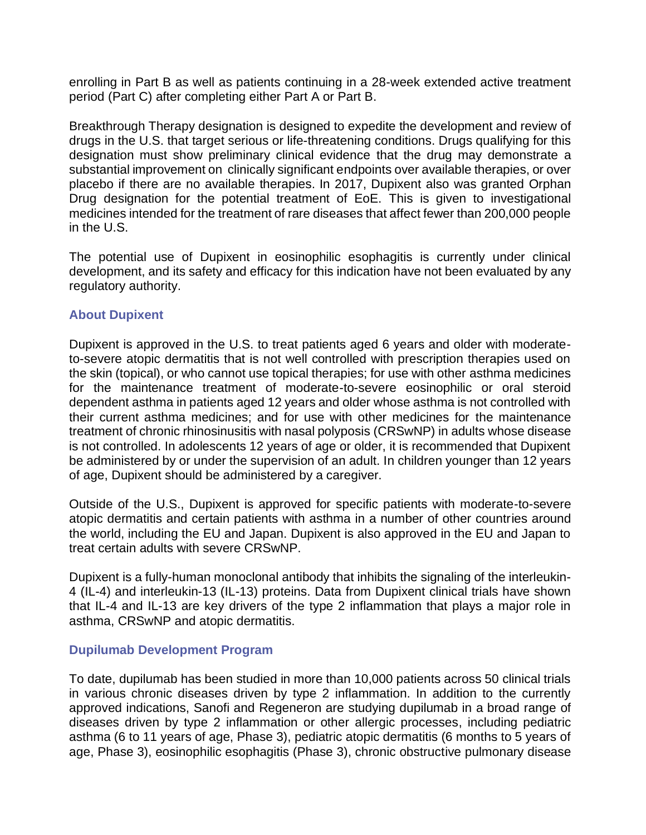enrolling in Part B as well as patients continuing in a 28-week extended active treatment period (Part C) after completing either Part A or Part B.

Breakthrough Therapy designation is designed to expedite the development and review of drugs in the U.S. that target serious or life-threatening conditions. Drugs qualifying for this designation must show preliminary clinical evidence that the drug may demonstrate a substantial improvement on clinically significant endpoints over available therapies, or over placebo if there are no available therapies. In 2017, Dupixent also was granted Orphan Drug designation for the potential treatment of EoE. This is given to investigational medicines intended for the treatment of rare diseases that affect fewer than 200,000 people in the U.S.

The potential use of Dupixent in eosinophilic esophagitis is currently under clinical development, and its safety and efficacy for this indication have not been evaluated by any regulatory authority.

# **About Dupixent**

Dupixent is approved in the U.S. to treat patients aged 6 years and older with moderateto-severe atopic dermatitis that is not well controlled with prescription therapies used on the skin (topical), or who cannot use topical therapies; for use with other asthma medicines for the maintenance treatment of moderate-to-severe eosinophilic or oral steroid dependent asthma in patients aged 12 years and older whose asthma is not controlled with their current asthma medicines; and for use with other medicines for the maintenance treatment of chronic rhinosinusitis with nasal polyposis (CRSwNP) in adults whose disease is not controlled. In adolescents 12 years of age or older, it is recommended that Dupixent be administered by or under the supervision of an adult. In children younger than 12 years of age, Dupixent should be administered by a caregiver.

Outside of the U.S., Dupixent is approved for specific patients with moderate-to-severe atopic dermatitis and certain patients with asthma in a number of other countries around the world, including the EU and Japan. Dupixent is also approved in the EU and Japan to treat certain adults with severe CRSwNP.

Dupixent is a fully-human monoclonal antibody that inhibits the signaling of the interleukin-4 (IL-4) and interleukin-13 (IL-13) proteins. Data from Dupixent clinical trials have shown that IL-4 and IL-13 are key drivers of the type 2 inflammation that plays a major role in asthma, CRSwNP and atopic dermatitis.

## **Dupilumab Development Program**

To date, dupilumab has been studied in more than 10,000 patients across 50 clinical trials in various chronic diseases driven by type 2 inflammation. In addition to the currently approved indications, Sanofi and Regeneron are studying dupilumab in a broad range of diseases driven by type 2 inflammation or other allergic processes, including pediatric asthma (6 to 11 years of age, Phase 3), pediatric atopic dermatitis (6 months to 5 years of age, Phase 3), eosinophilic esophagitis (Phase 3), chronic obstructive pulmonary disease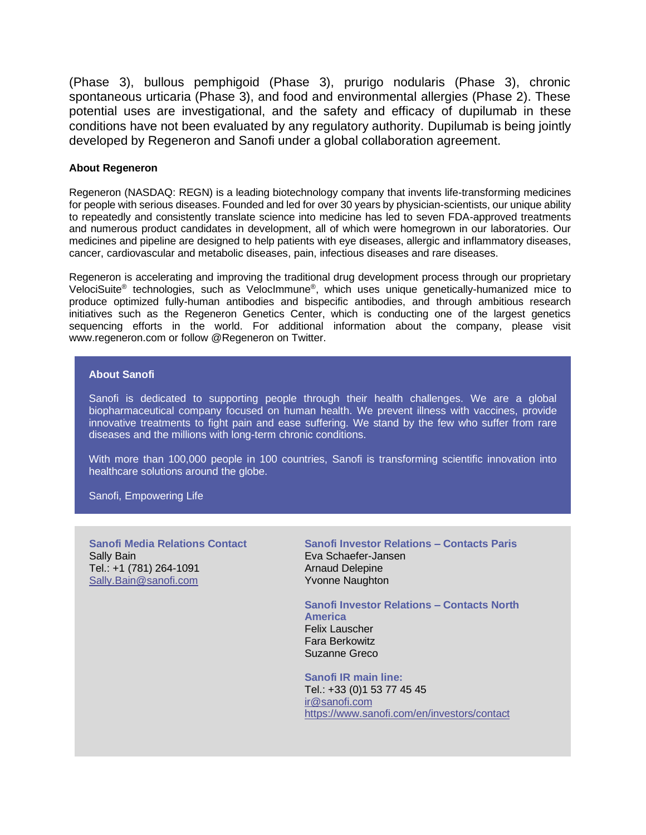(Phase 3), bullous pemphigoid (Phase 3), prurigo nodularis (Phase 3), chronic spontaneous urticaria (Phase 3), and food and environmental allergies (Phase 2). These potential uses are investigational, and the safety and efficacy of dupilumab in these conditions have not been evaluated by any regulatory authority. Dupilumab is being jointly developed by Regeneron and Sanofi under a global collaboration agreement.

## **About Regeneron**

Regeneron (NASDAQ: REGN) is a leading biotechnology company that invents life-transforming medicines for people with serious diseases. Founded and led for over 30 years by physician-scientists, our unique ability to repeatedly and consistently translate science into medicine has led to seven FDA-approved treatments and numerous product candidates in development, all of which were homegrown in our laboratories. Our medicines and pipeline are designed to help patients with eye diseases, allergic and inflammatory diseases, cancer, cardiovascular and metabolic diseases, pain, infectious diseases and rare diseases.

Regeneron is accelerating and improving the traditional drug development process through our proprietary VelociSuite® technologies, such as VelocImmune® , which uses unique genetically-humanized mice to produce optimized fully-human antibodies and bispecific antibodies, and through ambitious research initiatives such as the Regeneron Genetics Center, which is conducting one of the largest genetics sequencing efforts in the world. For additional information about the company, please visit www.regeneron.com or follow @Regeneron on Twitter.

### **About Sanofi**

Sanofi is dedicated to supporting people through their health challenges. We are a global biopharmaceutical company focused on human health. We prevent illness with vaccines, provide innovative treatments to fight pain and ease suffering. We stand by the few who suffer from rare diseases and the millions with long-term chronic conditions.

With more than 100,000 people in 100 countries, Sanofi is transforming scientific innovation into healthcare solutions around the globe.

Sanofi, Empowering Life

**Sanofi Media Relations Contact**  Sally Bain Tel.: +1 (781) 264-1091 [Sally.Bain@sanofi.com](mailto:Sally.Bain@sanofi.com)

**Sanofi Investor Relations – Contacts Paris** Eva Schaefer-Jansen Arnaud Delepine Yvonne Naughton

**Sanofi Investor Relations – Contacts North America** Felix Lauscher Fara Berkowitz Suzanne Greco

**Sanofi IR main line:** Tel.: +33 (0)1 53 77 45 45 [ir@sanofi.com](mailto:ir@sanofi.com) https://www.sanofi.com/en/investors/contact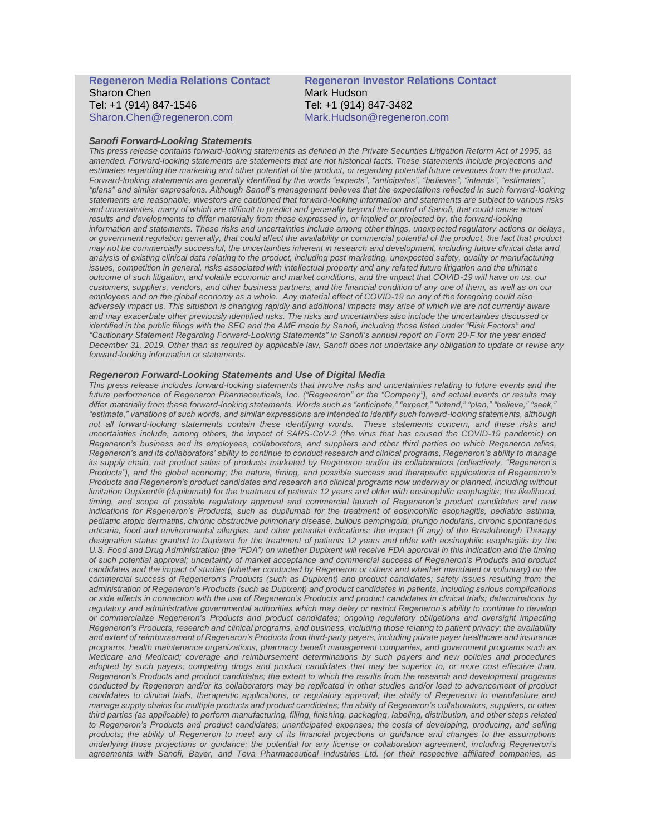#### **Regeneron Media Relations Contact**  Sharon Chen Tel: +1 (914) 847-1546 [Sharon.Chen@regeneron.com](mailto:Hannah.Kwagh@regeneron.com)

#### **Regeneron Investor Relations Contact**  Mark Hudson Tel: +1 (914) 847-3482 [Mark.Hudson@regeneron.com](mailto:Mark.Hudson@regeneron.com)

#### *Sanofi Forward-Looking Statements*

*This press release contains forward-looking statements as defined in the Private Securities Litigation Reform Act of 1995, as amended. Forward-looking statements are statements that are not historical facts. These statements include projections and estimates regarding the marketing and other potential of the product, or regarding potential future revenues from the product. Forward-looking statements are generally identified by the words "expects", "anticipates", "believes", "intends", "estimates", "plans" and similar expressions. Although Sanofi's management believes that the expectations reflected in such forward-looking statements are reasonable, investors are cautioned that forward-looking information and statements are subject to various risks and uncertainties, many of which are difficult to predict and generally beyond the control of Sanofi, that could cause actual results and developments to differ materially from those expressed in, or implied or projected by, the forward-looking information and statements. These risks and uncertainties include among other things, unexpected regulatory actions or delays, or government regulation generally, that could affect the availability or commercial potential of the product, the fact that product may not be commercially successful, the uncertainties inherent in research and development, including future clinical data and analysis of existing clinical data relating to the product, including post marketing, unexpected safety, quality or manufacturing*  issues, competition in general, risks associated with intellectual property and any related future litigation and the ultimate *outcome of such litigation, and volatile economic and market conditions, and the impact that COVID-19 will have on us, our customers, suppliers, vendors, and other business partners, and the financial condition of any one of them, as well as on our* employees and on the global economy as a whole. Any material effect of COVID-19 on any of the foregoing could also adversely impact us. This situation is changing rapidly and additional impacts may arise of which we are not currently aware *and may exacerbate other previously identified risks. The risks and uncertainties also include the uncertainties discussed or identified in the public filings with the SEC and the AMF made by Sanofi, including those listed under "Risk Factors" and "Cautionary Statement Regarding Forward-Looking Statements" in Sanofi's annual report on Form 20-F for the year ended December 31, 2019. Other than as required by applicable law, Sanofi does not undertake any obligation to update or revise any forward-looking information or statements.*

#### *Regeneron Forward-Looking Statements and Use of Digital Media*

*This press release includes forward-looking statements that involve risks and uncertainties relating to future events and the future performance of Regeneron Pharmaceuticals, Inc. ("Regeneron" or the "Company"), and actual events or results may differ materially from these forward-looking statements. Words such as "anticipate," "expect," "intend," "plan," "believe," "seek," "estimate," variations of such words, and similar expressions are intended to identify such forward-looking statements, although not all forward-looking statements contain these identifying words. These statements concern, and these risks and uncertainties include, among others, the impact of SARS-CoV-2 (the virus that has caused the COVID-19 pandemic) on Regeneron's business and its employees, collaborators, and suppliers and other third parties on which Regeneron relies, Regeneron's and its collaborators' ability to continue to conduct research and clinical programs, Regeneron's ability to manage its supply chain, net product sales of products marketed by Regeneron and/or its collaborators (collectively, "Regeneron's Products"), and the global economy; the nature, timing, and possible success and therapeutic applications of Regeneron's Products and Regeneron's product candidates and research and clinical programs now underway or planned, including without limitation Dupixent® (dupilumab) for the treatment of patients 12 years and older with eosinophilic esophagitis; the likelihood, timing, and scope of possible regulatory approval and commercial launch of Regeneron's product candidates and new indications for Regeneron's Products, such as dupilumab for the treatment of eosinophilic esophagitis, pediatric asthma, pediatric atopic dermatitis, chronic obstructive pulmonary disease, bullous pemphigoid, prurigo nodularis, chronic spontaneous urticaria, food and environmental allergies, and other potential indications; the impact (if any) of the Breakthrough Therapy designation status granted to Dupixent for the treatment of patients 12 years and older with eosinophilic esophagitis by the U.S. Food and Drug Administration (the "FDA") on whether Dupixent will receive FDA approval in this indication and the timing of such potential approval; uncertainty of market acceptance and commercial success of Regeneron's Products and product candidates and the impact of studies (whether conducted by Regeneron or others and whether mandated or voluntary) on the commercial success of Regeneron's Products (such as Dupixent) and product candidates; safety issues resulting from the administration of Regeneron's Products (such as Dupixent) and product candidates in patients, including serious complications or side effects in connection with the use of Regeneron's Products and product candidates in clinical trials; determinations by regulatory and administrative governmental authorities which may delay or restrict Regeneron's ability to continue to develop or commercialize Regeneron's Products and product candidates; ongoing regulatory obligations and oversight impacting Regeneron's Products, research and clinical programs, and business, including those relating to patient privacy; the availability and extent of reimbursement of Regeneron's Products from third-party payers, including private payer healthcare and insurance programs, health maintenance organizations, pharmacy benefit management companies, and government programs such as Medicare and Medicaid; coverage and reimbursement determinations by such payers and new policies and procedures adopted by such payers; competing drugs and product candidates that may be superior to, or more cost effective than, Regeneron's Products and product candidates; the extent to which the results from the research and development programs conducted by Regeneron and/or its collaborators may be replicated in other studies and/or lead to advancement of product candidates to clinical trials, therapeutic applications, or regulatory approval; the ability of Regeneron to manufacture and manage supply chains for multiple products and product candidates; the ability of Regeneron's collaborators, suppliers, or other third parties (as applicable) to perform manufacturing, filling, finishing, packaging, labeling, distribution, and other steps related to Regeneron's Products and product candidates; unanticipated expenses; the costs of developing, producing, and selling products; the ability of Regeneron to meet any of its financial projections or guidance and changes to the assumptions underlying those projections or guidance; the potential for any license or collaboration agreement, including Regeneron's agreements with Sanofi, Bayer, and Teva Pharmaceutical Industries Ltd. (or their respective affiliated companies, as*